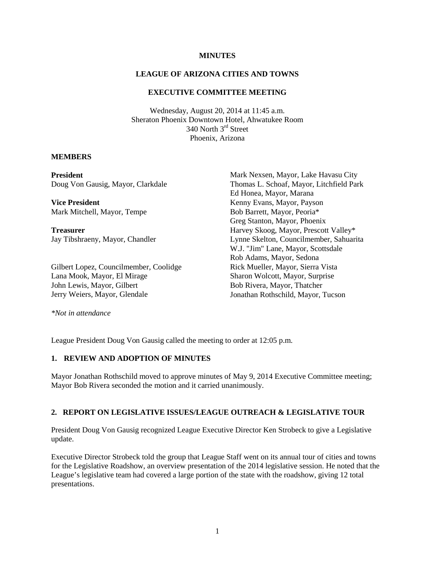#### **MINUTES**

#### **LEAGUE OF ARIZONA CITIES AND TOWNS**

### **EXECUTIVE COMMITTEE MEETING**

Wednesday, August 20, 2014 at 11:45 a.m. Sheraton Phoenix Downtown Hotel, Ahwatukee Room 340 North 3rd Street Phoenix, Arizona

#### **MEMBERS**

**President** Doug Von Gausig, Mayor, Clarkdale **Vice President** Mark Mitchell, Mayor, Tempe **Treasurer** Jay Tibshraeny, Mayor, Chandler Gilbert Lopez, Councilmember, Coolidge Lana Mook, Mayor, El Mirage John Lewis, Mayor, Gilbert Jerry Weiers, Mayor, Glendale Mark Nexsen, Mayor, Lake Havasu City Thomas L. Schoaf, Mayor, Litchfield Park Ed Honea, Mayor, Marana Kenny Evans, Mayor, Payson Bob Barrett, Mayor, Peoria\* Greg Stanton, Mayor, Phoenix Harvey Skoog, Mayor, Prescott Valley\* Lynne Skelton, Councilmember, Sahuarita W.J. "Jim" Lane, Mayor, Scottsdale Rob Adams, Mayor, Sedona Rick Mueller, Mayor, Sierra Vista Sharon Wolcott, Mayor, Surprise Bob Rivera, Mayor, Thatcher Jonathan Rothschild, Mayor, Tucson

*\*Not in attendance* 

League President Doug Von Gausig called the meeting to order at 12:05 p.m.

### **1. REVIEW AND ADOPTION OF MINUTES**

Mayor Jonathan Rothschild moved to approve minutes of May 9, 2014 Executive Committee meeting; Mayor Bob Rivera seconded the motion and it carried unanimously.

#### **2. REPORT ON LEGISLATIVE ISSUES/LEAGUE OUTREACH & LEGISLATIVE TOUR**

President Doug Von Gausig recognized League Executive Director Ken Strobeck to give a Legislative update.

Executive Director Strobeck told the group that League Staff went on its annual tour of cities and towns for the Legislative Roadshow, an overview presentation of the 2014 legislative session. He noted that the League's legislative team had covered a large portion of the state with the roadshow, giving 12 total presentations.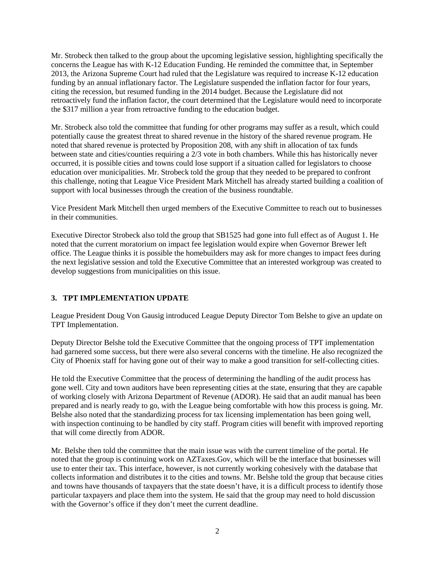Mr. Strobeck then talked to the group about the upcoming legislative session, highlighting specifically the concerns the League has with K-12 Education Funding. He reminded the committee that, in September 2013, the Arizona Supreme Court had ruled that the Legislature was required to increase K-12 education funding by an annual inflationary factor. The Legislature suspended the inflation factor for four years, citing the recession, but resumed funding in the 2014 budget. Because the Legislature did not retroactively fund the inflation factor, the court determined that the Legislature would need to incorporate the \$317 million a year from retroactive funding to the education budget.

Mr. Strobeck also told the committee that funding for other programs may suffer as a result, which could potentially cause the greatest threat to shared revenue in the history of the shared revenue program. He noted that shared revenue is protected by Proposition 208, with any shift in allocation of tax funds between state and cities/counties requiring a 2/3 vote in both chambers. While this has historically never occurred, it is possible cities and towns could lose support if a situation called for legislators to choose education over municipalities. Mr. Strobeck told the group that they needed to be prepared to confront this challenge, noting that League Vice President Mark Mitchell has already started building a coalition of support with local businesses through the creation of the business roundtable.

Vice President Mark Mitchell then urged members of the Executive Committee to reach out to businesses in their communities.

Executive Director Strobeck also told the group that SB1525 had gone into full effect as of August 1. He noted that the current moratorium on impact fee legislation would expire when Governor Brewer left office. The League thinks it is possible the homebuilders may ask for more changes to impact fees during the next legislative session and told the Executive Committee that an interested workgroup was created to develop suggestions from municipalities on this issue.

# **3. TPT IMPLEMENTATION UPDATE**

League President Doug Von Gausig introduced League Deputy Director Tom Belshe to give an update on TPT Implementation.

Deputy Director Belshe told the Executive Committee that the ongoing process of TPT implementation had garnered some success, but there were also several concerns with the timeline. He also recognized the City of Phoenix staff for having gone out of their way to make a good transition for self-collecting cities.

He told the Executive Committee that the process of determining the handling of the audit process has gone well. City and town auditors have been representing cities at the state, ensuring that they are capable of working closely with Arizona Department of Revenue (ADOR). He said that an audit manual has been prepared and is nearly ready to go, with the League being comfortable with how this process is going. Mr. Belshe also noted that the standardizing process for tax licensing implementation has been going well, with inspection continuing to be handled by city staff. Program cities will benefit with improved reporting that will come directly from ADOR.

Mr. Belshe then told the committee that the main issue was with the current timeline of the portal. He noted that the group is continuing work on AZTaxes.Gov, which will be the interface that businesses will use to enter their tax. This interface, however, is not currently working cohesively with the database that collects information and distributes it to the cities and towns. Mr. Belshe told the group that because cities and towns have thousands of taxpayers that the state doesn't have, it is a difficult process to identify those particular taxpayers and place them into the system. He said that the group may need to hold discussion with the Governor's office if they don't meet the current deadline.